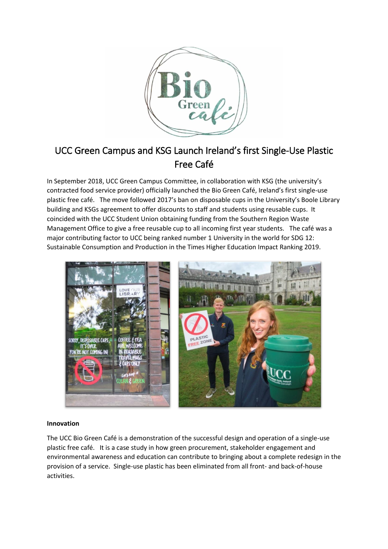

# UCC Green Campus and KSG Launch Ireland's first Single-Use Plastic Free Café

In September 2018, UCC Green Campus Committee, in collaboration with KSG (the university's contracted food service provider) officially launched the Bio Green Café, Ireland's first single-use plastic free café. The move followed 2017's ban on disposable cups in the University's Boole Library building and KSGs agreement to offer discounts to staff and students using reusable cups. It coincided with the UCC Student Union obtaining funding from the Southern Region Waste Management Office to give a free reusable cup to all incoming first year students. The café was a major contributing factor to UCC being ranked number 1 University in the world for SDG 12: Sustainable Consumption and Production in the Times Higher Education Impact Ranking 2019.



### **Innovation**

The UCC Bio Green Café is a demonstration of the successful design and operation of a single-use plastic free café. It is a case study in how green procurement, stakeholder engagement and environmental awareness and education can contribute to bringing about a complete redesign in the provision of a service. Single-use plastic has been eliminated from all front- and back-of-house activities.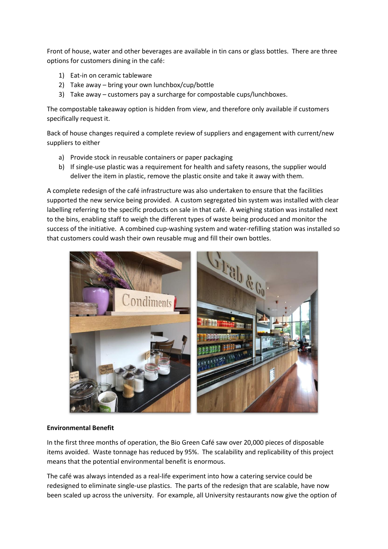Front of house, water and other beverages are available in tin cans or glass bottles. There are three options for customers dining in the café:

- 1) Eat-in on ceramic tableware
- 2) Take away bring your own lunchbox/cup/bottle
- 3) Take away customers pay a surcharge for compostable cups/lunchboxes.

The compostable takeaway option is hidden from view, and therefore only available if customers specifically request it.

Back of house changes required a complete review of suppliers and engagement with current/new suppliers to either

- a) Provide stock in reusable containers or paper packaging
- b) If single-use plastic was a requirement for health and safety reasons, the supplier would deliver the item in plastic, remove the plastic onsite and take it away with them.

A complete redesign of the café infrastructure was also undertaken to ensure that the facilities supported the new service being provided. A custom segregated bin system was installed with clear labelling referring to the specific products on sale in that café. A weighing station was installed next to the bins, enabling staff to weigh the different types of waste being produced and monitor the success of the initiative. A combined cup-washing system and water-refilling station was installed so that customers could wash their own reusable mug and fill their own bottles.



## **Environmental Benefit**

In the first three months of operation, the Bio Green Café saw over 20,000 pieces of disposable items avoided. Waste tonnage has reduced by 95%. The scalability and replicability of this project means that the potential environmental benefit is enormous.

The café was always intended as a real-life experiment into how a catering service could be redesigned to eliminate single-use plastics. The parts of the redesign that are scalable, have now been scaled up across the university. For example, all University restaurants now give the option of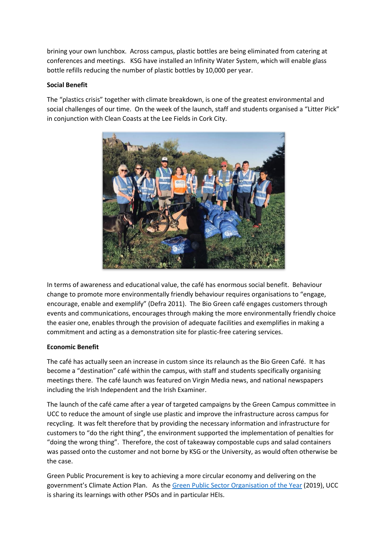brining your own lunchbox. Across campus, plastic bottles are being eliminated from catering at conferences and meetings. KSG have installed an Infinity Water System, which will enable glass bottle refills reducing the number of plastic bottles by 10,000 per year.

## **Social Benefit**

The "plastics crisis" together with climate breakdown, is one of the greatest environmental and social challenges of our time. On the week of the launch, staff and students organised a "Litter Pick" in conjunction with Clean Coasts at the Lee Fields in Cork City.



In terms of awareness and educational value, the café has enormous social benefit. Behaviour change to promote more environmentally friendly behaviour requires organisations to "engage, encourage, enable and exemplify" (Defra 2011). The Bio Green café engages customers through events and communications, encourages through making the more environmentally friendly choice the easier one, enables through the provision of adequate facilities and exemplifies in making a commitment and acting as a demonstration site for plastic-free catering services.

### **Economic Benefit**

The café has actually seen an increase in custom since its relaunch as the Bio Green Café. It has become a "destination" café within the campus, with staff and students specifically organising meetings there. The café launch was featured on Virgin Media news, and national newspapers including the Irish Independent and the Irish Examiner.

The launch of the café came after a year of targeted campaigns by the Green Campus committee in UCC to reduce the amount of single use plastic and improve the infrastructure across campus for recycling. It was felt therefore that by providing the necessary information and infrastructure for customers to "do the right thing", the environment supported the implementation of penalties for "doing the wrong thing". Therefore, the cost of takeaway compostable cups and salad containers was passed onto the customer and not borne by KSG or the University, as would often otherwise be the case.

Green Public Procurement is key to achieving a more circular economy and delivering on the government's Climate Action Plan. As the [Green Public Sector Organisation of the Year](https://www.greenawards.ie/shortlist) (2019), UCC is sharing its learnings with other PSOs and in particular HEIs.